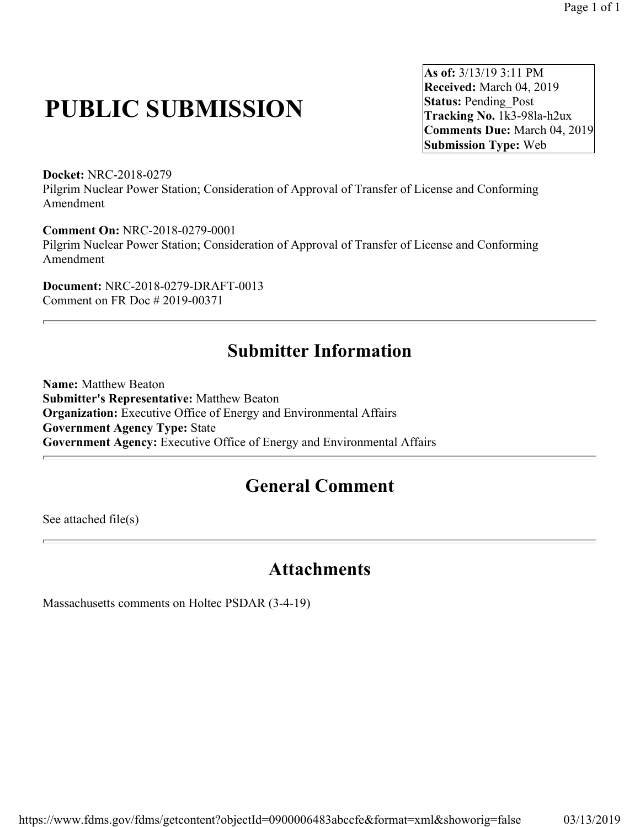## **PUBLIC SUBMISSION**

**As of:** 3/13/19 3:11 PM **Received:** March 04, 2019 **Status: Pending Post Tracking No.** 1k3-98la-h2ux **Comments Due:** March 04, 2019 **Submission Type:** Web

**Docket:** NRC-2018-0279 Pilgrim Nuclear Power Station; Consideration of Approval of Transfer of License and Conforming Amendment

**Comment On:** NRC-2018-0279-0001 Pilgrim Nuclear Power Station; Consideration of Approval of Transfer of License and Conforming Amendment

**Document:** NRC-2018-0279-DRAFT-0013 Comment on FR Doc # 2019-00371

## **Submitter Information**

**Name:** Matthew Beaton **Submitter's Representative:** Matthew Beaton **Organization:** Executive Office of Energy and Environmental Affairs **Government Agency Type:** State **Government Agency:** Executive Office of Energy and Environmental Affairs

## **General Comment**

See attached file(s)

## **Attachments**

Massachusetts comments on Holtec PSDAR (3-4-19)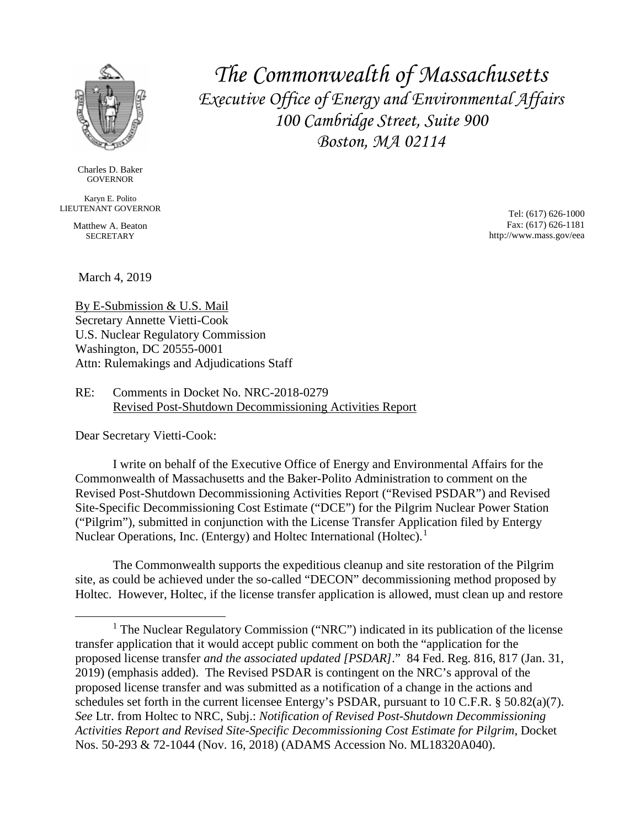

Charles D. Baker **GOVERNOR** 

Karyn E. Polito LIEUTENANT GOVERNOR

> Matthew A. Beaton **SECRETARY**

*The Commonwealth of Massachusetts Executive Office of Energy and Environmental Affairs 100 Cambridge Street, Suite 900 Boston, MA 02114*

> Tel: (617) 626-1000 Fax: (617) 626-1181 http://www.mass.gov/eea

March 4, 2019

By E-Submission & U.S. Mail Secretary Annette Vietti-Cook U.S. Nuclear Regulatory Commission Washington, DC 20555-0001 Attn: Rulemakings and Adjudications Staff

RE: Comments in Docket No. NRC-2018-0279 Revised Post-Shutdown Decommissioning Activities Report

Dear Secretary Vietti-Cook:

I write on behalf of the Executive Office of Energy and Environmental Affairs for the Commonwealth of Massachusetts and the Baker-Polito Administration to comment on the Revised Post-Shutdown Decommissioning Activities Report ("Revised PSDAR") and Revised Site-Specific Decommissioning Cost Estimate ("DCE") for the Pilgrim Nuclear Power Station ("Pilgrim"), submitted in conjunction with the License Transfer Application filed by Entergy Nuclear Operations, Inc. (Entergy) and Holtec International (Holtec).<sup>[1](#page-1-0)</sup>

The Commonwealth supports the expeditious cleanup and site restoration of the Pilgrim site, as could be achieved under the so-called "DECON" decommissioning method proposed by Holtec. However, Holtec, if the license transfer application is allowed, must clean up and restore

<span id="page-1-0"></span><sup>&</sup>lt;sup>1</sup> The Nuclear Regulatory Commission ("NRC") indicated in its publication of the license transfer application that it would accept public comment on both the "application for the proposed license transfer *and the associated updated [PSDAR]*." 84 Fed. Reg. 816, 817 (Jan. 31, 2019) (emphasis added). The Revised PSDAR is contingent on the NRC's approval of the proposed license transfer and was submitted as a notification of a change in the actions and schedules set forth in the current licensee Entergy's PSDAR, pursuant to 10 C.F.R. § 50.82(a)(7). *See* Ltr. from Holtec to NRC, Subj.: *Notification of Revised Post-Shutdown Decommissioning Activities Report and Revised Site-Specific Decommissioning Cost Estimate for Pilgrim*, Docket Nos. 50-293 & 72-1044 (Nov. 16, 2018) (ADAMS Accession No. ML18320A040).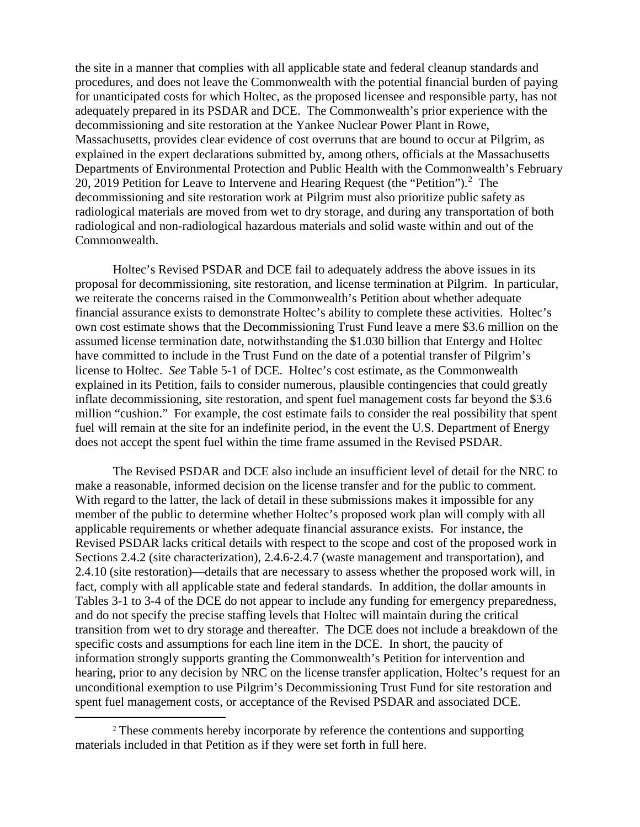the site in a manner that complies with all applicable state and federal cleanup standards and procedures, and does not leave the Commonwealth with the potential financial burden of paying for unanticipated costs for which Holtec, as the proposed licensee and responsible party, has not adequately prepared in its PSDAR and DCE. The Commonwealth's prior experience with the decommissioning and site restoration at the Yankee Nuclear Power Plant in Rowe, Massachusetts, provides clear evidence of cost overruns that are bound to occur at Pilgrim, as explained in the expert declarations submitted by, among others, officials at the Massachusetts Departments of Environmental Protection and Public Health with the Commonwealth's February [2](#page-2-0)0, 2019 Petition for Leave to Intervene and Hearing Request (the "Petition").<sup>2</sup> The decommissioning and site restoration work at Pilgrim must also prioritize public safety as radiological materials are moved from wet to dry storage, and during any transportation of both radiological and non-radiological hazardous materials and solid waste within and out of the Commonwealth.

Holtec's Revised PSDAR and DCE fail to adequately address the above issues in its proposal for decommissioning, site restoration, and license termination at Pilgrim. In particular, we reiterate the concerns raised in the Commonwealth's Petition about whether adequate financial assurance exists to demonstrate Holtec's ability to complete these activities. Holtec's own cost estimate shows that the Decommissioning Trust Fund leave a mere \$3.6 million on the assumed license termination date, notwithstanding the \$1.030 billion that Entergy and Holtec have committed to include in the Trust Fund on the date of a potential transfer of Pilgrim's license to Holtec. *See* Table 5-1 of DCE. Holtec's cost estimate, as the Commonwealth explained in its Petition, fails to consider numerous, plausible contingencies that could greatly inflate decommissioning, site restoration, and spent fuel management costs far beyond the \$3.6 million "cushion." For example, the cost estimate fails to consider the real possibility that spent fuel will remain at the site for an indefinite period, in the event the U.S. Department of Energy does not accept the spent fuel within the time frame assumed in the Revised PSDAR.

The Revised PSDAR and DCE also include an insufficient level of detail for the NRC to make a reasonable, informed decision on the license transfer and for the public to comment. With regard to the latter, the lack of detail in these submissions makes it impossible for any member of the public to determine whether Holtec's proposed work plan will comply with all applicable requirements or whether adequate financial assurance exists. For instance, the Revised PSDAR lacks critical details with respect to the scope and cost of the proposed work in Sections 2.4.2 (site characterization), 2.4.6-2.4.7 (waste management and transportation), and 2.4.10 (site restoration)—details that are necessary to assess whether the proposed work will, in fact, comply with all applicable state and federal standards. In addition, the dollar amounts in Tables 3-1 to 3-4 of the DCE do not appear to include any funding for emergency preparedness, and do not specify the precise staffing levels that Holtec will maintain during the critical transition from wet to dry storage and thereafter. The DCE does not include a breakdown of the specific costs and assumptions for each line item in the DCE. In short, the paucity of information strongly supports granting the Commonwealth's Petition for intervention and hearing, prior to any decision by NRC on the license transfer application, Holtec's request for an unconditional exemption to use Pilgrim's Decommissioning Trust Fund for site restoration and spent fuel management costs, or acceptance of the Revised PSDAR and associated DCE.

<span id="page-2-0"></span> <sup>2</sup> These comments hereby incorporate by reference the contentions and supporting materials included in that Petition as if they were set forth in full here.